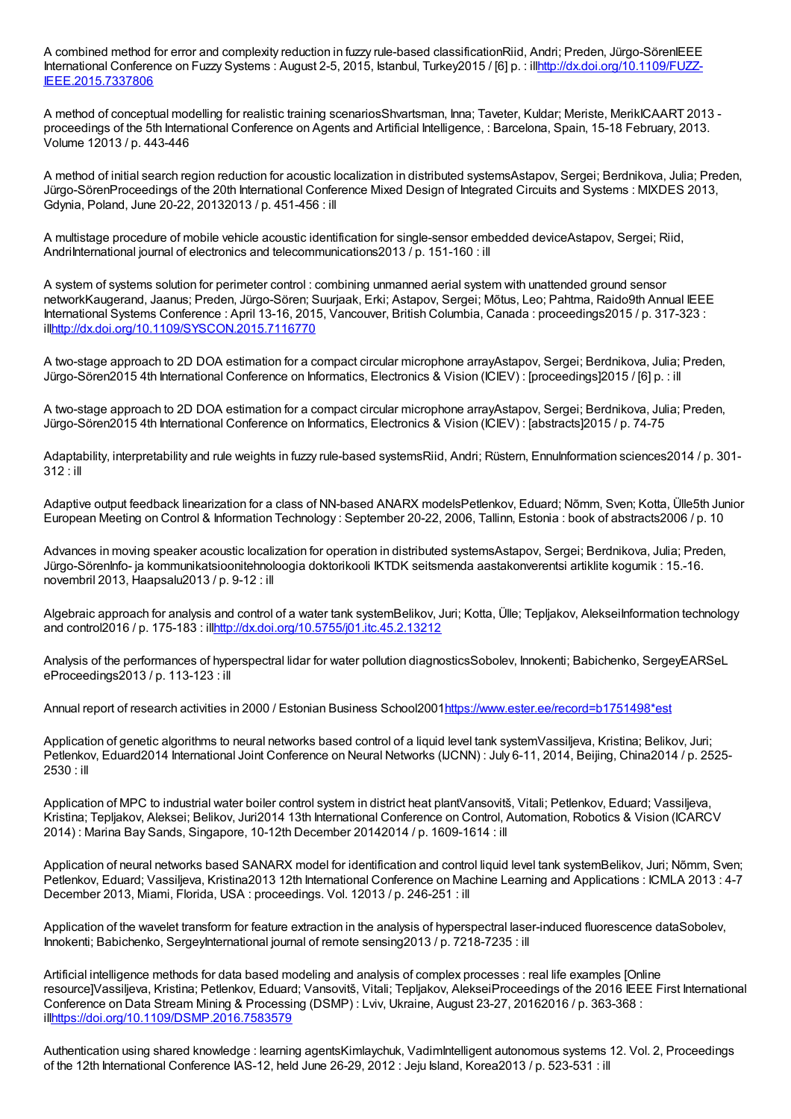A combined method for error and complexity reduction in fuzzy rule-based classificationRiid, Andri; Preden, Jürgo-SörenIEEE International Conference on Fuzzy Systems : August 2-5, 2015, Istanbul, Turkey2015 / [6] p. : [illhttp://dx.doi.org/10.1109/FUZZ-](http://dx.doi.org/10.1109/FUZZ-IEEE.2015.7337806)IEEE.2015.7337806

A method of conceptual modelling for realistic training scenariosShvartsman, Inna; Taveter, Kuldar; Meriste, MerikICAART 2013 proceedings of the 5th International Conference on Agents and Artificial Intelligence, : Barcelona, Spain, 15-18 February, 2013. Volume 12013 / p. 443-446

A method of initial search region reduction for acoustic localization in distributed systemsAstapov, Sergei; Berdnikova, Julia; Preden, Jürgo-SörenProceedings of the 20th International Conference Mixed Design of Integrated Circuits and Systems : MIXDES 2013, Gdynia, Poland, June 20-22, 20132013 / p. 451-456 : ill

A multistage procedure of mobile vehicle acoustic identification for single-sensor embedded deviceAstapov, Sergei; Riid, AndriInternational journal of electronics and telecommunications2013 / p. 151-160 : ill

A system of systems solution for perimeter control : combining unmanned aerial system with unattended ground sensor networkKaugerand, Jaanus; Preden, Jürgo-Sören; Suurjaak, Erki; Astapov, Sergei; Mõtus, Leo; Pahtma, Raido9th Annual IEEE International Systems Conference : April 13-16, 2015, Vancouver, British Columbia, Canada : proceedings2015 / p. 317-323 : il[lhttp://dx.doi.org/10.1109/SYSCON.2015.7116770](http://dx.doi.org/10.1109/SYSCON.2015.7116770)

A two-stage approach to 2D DOA estimation for a compact circular microphone arrayAstapov, Sergei; Berdnikova, Julia; Preden, Jürgo-Sören2015 4th International Conference on Informatics, Electronics & Vision (ICIEV) : [proceedings]2015 / [6] p. : ill

A two-stage approach to 2D DOA estimation for a compact circular microphone arrayAstapov, Sergei; Berdnikova, Julia; Preden, Jürgo-Sören2015 4th International Conference on Informatics, Electronics & Vision (ICIEV) : [abstracts]2015 / p. 74-75

Adaptability, interpretability and rule weights in fuzzy rule-based systemsRiid, Andri; Rüstern, EnnuInformation sciences2014 / p. 301-312 : ill

Adaptive output feedback linearization for a class of NN-based ANARX modelsPetlenkov, Eduard; Nõmm, Sven; Kotta, Ülle5th Junior European Meeting on Control & Information Technology : September 20-22, 2006, Tallinn, Estonia : book of abstracts2006 / p. 10

Advances in moving speaker acoustic localization for operation in distributed systemsAstapov, Sergei; Berdnikova, Julia; Preden, Jürgo-SörenInfo- ja kommunikatsioonitehnoloogia doktorikooli IKTDK seitsmenda aastakonverentsi artiklite kogumik : 15.-16. novembril 2013, Haapsalu2013 / p. 9-12 : ill

Algebraic approach for analysis and control of a water tank systemBelikov, Juri; Kotta, Ülle; Tepljakov, AlekseiInformation technology and control2016 / p. 175-183 : il[lhttp://dx.doi.org/10.5755/j01.itc.45.2.13212](http://dx.doi.org/10.5755/j01.itc.45.2.13212)

Analysis of the performances of hyperspectral lidar for water pollution diagnosticsSobolev, Innokenti; Babichenko, SergeyEARSeL eProceedings2013 / p. 113-123 : ill

Annual report of research activities in 2000 / Estonian Business School200[1https://www.ester.ee/record=b1751498\\*est](https://www.ester.ee/record=b1751498*est)

Application of genetic algorithms to neural networks based control of a liquid level tank systemVassiljeva, Kristina; Belikov, Juri; Petlenkov, Eduard2014 International Joint Conference on Neural Networks (IJCNN) : July 6-11, 2014, Beijing, China2014 / p. 2525- 2530 : ill

Application of MPC to industrial water boiler control system in district heat plantVansovitš, Vitali; Petlenkov, Eduard; Vassiljeva, Kristina; Tepljakov, Aleksei; Belikov, Juri2014 13th International Conference on Control, Automation, Robotics & Vision (ICARCV 2014) : Marina Bay Sands, Singapore, 10-12th December 20142014 / p. 1609-1614 : ill

Application of neural networks based SANARX model for identification and control liquid level tank systemBelikov, Juri; Nõmm, Sven; Petlenkov, Eduard; Vassiljeva, Kristina2013 12th International Conference on Machine Learning and Applications : ICMLA 2013 : 4-7 December 2013, Miami, Florida, USA : proceedings. Vol. 12013 / p. 246-251 : ill

Application of the wavelet transform for feature extraction in the analysis of hyperspectral laser-induced fluorescence dataSobolev, Innokenti; Babichenko, SergeyInternational journal of remote sensing2013 / p. 7218-7235 : ill

Artificial intelligence methods for data based modeling and analysis of complex processes : real life examples [Online resource]Vassiljeva, Kristina; Petlenkov, Eduard; Vansovitš, Vitali; Tepljakov, AlekseiProceedings of the 2016 IEEE First International Conference on Data Stream Mining & Processing (DSMP) : Lviv, Ukraine, August 23-27, 20162016 / p. 363-368 : il[lhttps://doi.org/10.1109/DSMP.2016.7583579](https://doi.org/10.1109/DSMP.2016.7583579)

Authentication using shared knowledge : learning agentsKimlaychuk, VadimIntelligent autonomous systems 12. Vol. 2, Proceedings of the 12th International Conference IAS-12, held June 26-29, 2012 : Jeju Island, Korea2013 / p. 523-531 : ill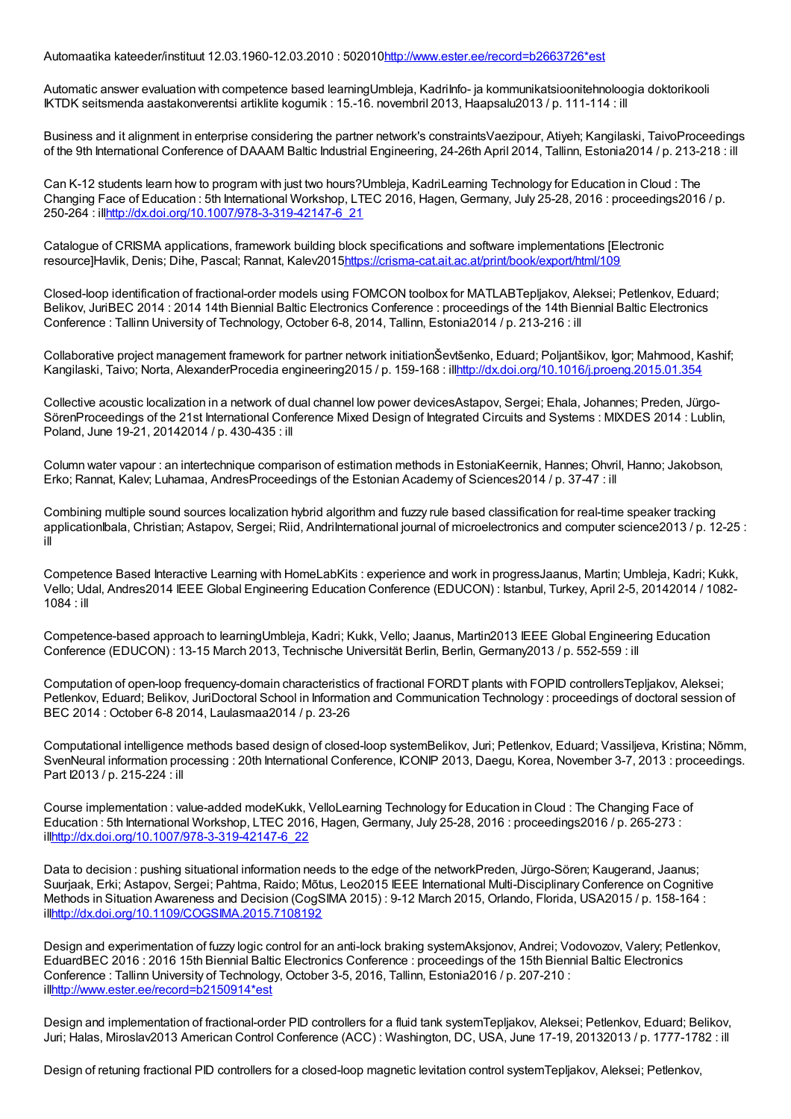Automaatika kateeder/instituut 12.03.1960-12.03.2010 : 50201[0http://www.ester.ee/record=b2663726\\*est](http://www.ester.ee/record=b2663726*est)

Automatic answer evaluation with competence based learningUmbleja, KadriInfo- ja kommunikatsioonitehnoloogia doktorikooli IKTDK seitsmenda aastakonverentsi artiklite kogumik : 15.-16. novembril 2013, Haapsalu2013 / p. 111-114 : ill

Business and it alignment in enterprise considering the partner network's constraintsVaezipour, Atiyeh; Kangilaski, TaivoProceedings of the 9th International Conference of DAAAM Baltic Industrial Engineering, 24-26th April 2014, Tallinn, Estonia2014 / p. 213-218 : ill

Can K-12 students learn how to program with just two hours?Umbleja, KadriLearning Technology for Education in Cloud : The Changing Face of Education : 5th International Workshop, LTEC 2016, Hagen, Germany, July 25-28, 2016 : proceedings2016 / p. 250-264 : il[lhttp://dx.doi.org/10.1007/978-3-319-42147-6\\_21](http://dx.doi.org/10.1007/978-3-319-42147-6_21)

Catalogue of CRISMA applications, framework building block specifications and software implementations [Electronic resource]Havlik, Denis; Dihe, Pascal; Rannat, Kalev201[5https://crisma-cat.ait.ac.at/print/book/export/html/109](https://crisma-cat.ait.ac.at/print/book/export/html/109)

Closed-loop identification of fractional-order models using FOMCON toolbox for MATLABTepljakov, Aleksei; Petlenkov, Eduard; Belikov, JuriBEC 2014 : 2014 14th Biennial Baltic Electronics Conference : proceedings of the 14th Biennial Baltic Electronics Conference : Tallinn University of Technology, October 6-8, 2014, Tallinn, Estonia2014 / p. 213-216 : ill

Collaborative project management framework for partner network initiationŠevtšenko, Eduard; Poljantšikov, Igor; Mahmood, Kashif; Kangilaski, Taivo; Norta, AlexanderProcedia engineering2015 / p. 159-168 : il[lhttp://dx.doi.org/10.1016/j.proeng.2015.01.354](http://dx.doi.org/10.1016/j.proeng.2015.01.354)

Collective acoustic localization in a network of dual channel low power devicesAstapov, Sergei; Ehala, Johannes; Preden, Jürgo-SörenProceedings of the 21st International Conference Mixed Design of Integrated Circuits and Systems : MIXDES 2014 : Lublin, Poland, June 19-21, 20142014 / p. 430-435 : ill

Column water vapour : an intertechnique comparison of estimation methods in EstoniaKeernik, Hannes; Ohvril, Hanno; Jakobson, Erko; Rannat, Kalev; Luhamaa, AndresProceedings of the Estonian Academy of Sciences2014 / p. 37-47 : ill

Combining multiple sound sources localization hybrid algorithm and fuzzy rule based classification for real-time speaker tracking applicationIbala, Christian; Astapov, Sergei; Riid, AndriInternational journal of microelectronics and computer science2013 / p. 12-25 : ill

Competence Based Interactive Learning with HomeLabKits : experience and work in progressJaanus, Martin; Umbleja, Kadri; Kukk, Vello; Udal, Andres2014 IEEE Global Engineering Education Conference (EDUCON) : Istanbul, Turkey, April 2-5, 20142014 / 1082- 1084 : ill

Competence-based approach to learningUmbleja, Kadri; Kukk, Vello; Jaanus, Martin2013 IEEE Global Engineering Education Conference (EDUCON) : 13-15 March 2013, Technische Universität Berlin, Berlin, Germany2013 / p. 552-559 : ill

Computation of open-loop frequency-domain characteristics of fractional FORDT plants with FOPID controllersTepljakov, Aleksei; Petlenkov, Eduard; Belikov, JuriDoctoral School in Information and Communication Technology : proceedings of doctoral session of BEC 2014 : October 6-8 2014, Laulasmaa2014 / p. 23-26

Computational intelligence methods based design of closed-loop systemBelikov, Juri; Petlenkov, Eduard; Vassiljeva, Kristina; Nõmm, SvenNeural information processing : 20th International Conference, ICONIP 2013, Daegu, Korea, November 3-7, 2013 : proceedings. Part I2013 / p. 215-224 : ill

Course implementation : value-added modeKukk, VelloLearning Technology for Education in Cloud : The Changing Face of Education : 5th International Workshop, LTEC 2016, Hagen, Germany, July 25-28, 2016 : proceedings2016 / p. 265-273 : il[lhttp://dx.doi.org/10.1007/978-3-319-42147-6\\_22](http://dx.doi.org/10.1007/978-3-319-42147-6_22)

Data to decision : pushing situational information needs to the edge of the networkPreden, Jürgo-Sören; Kaugerand, Jaanus; Suurjaak, Erki; Astapov, Sergei; Pahtma, Raido; Mõtus, Leo2015 IEEE International Multi-Disciplinary Conference on Cognitive Methods in Situation Awareness and Decision (CogSIMA 2015) : 9-12 March 2015, Orlando, Florida, USA2015 / p. 158-164 : il[lhttp://dx.doi.org/10.1109/COGSIMA.2015.7108192](http://dx.doi.org/10.1109/COGSIMA.2015.7108192)

Design and experimentation of fuzzy logic control for an anti-lock braking systemAksjonov, Andrei; Vodovozov, Valery; Petlenkov, EduardBEC 2016 : 2016 15th Biennial Baltic Electronics Conference : proceedings of the 15th Biennial Baltic Electronics Conference : Tallinn University of Technology, October 3-5, 2016, Tallinn, Estonia2016 / p. 207-210 : il[lhttp://www.ester.ee/record=b2150914\\*est](http://www.ester.ee/record=b2150914*est)

Design and implementation of fractional-order PID controllers for a fluid tank systemTepljakov, Aleksei; Petlenkov, Eduard; Belikov, Juri; Halas, Miroslav2013 American Control Conference (ACC) : Washington, DC, USA, June 17-19, 20132013 / p. 1777-1782 : ill

Design of retuning fractional PID controllers for a closed-loop magnetic levitation control systemTepljakov, Aleksei; Petlenkov,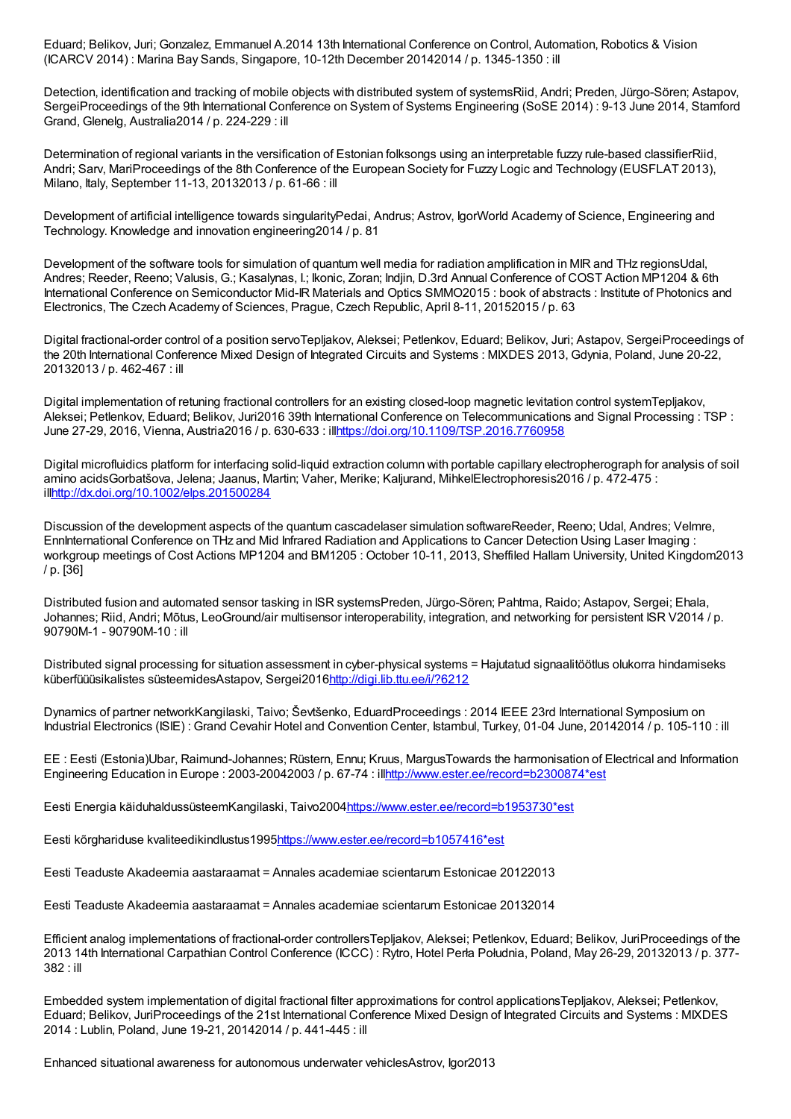Eduard; Belikov, Juri; Gonzalez, Emmanuel A.2014 13th International Conference on Control, Automation, Robotics & Vision (ICARCV 2014) : Marina Bay Sands, Singapore, 10-12th December 20142014 / p. 1345-1350 : ill

Detection, identification and tracking of mobile objects with distributed system of systemsRiid, Andri; Preden, Jürgo-Sören; Astapov, SergeiProceedings of the 9th International Conference on System of Systems Engineering (SoSE 2014) : 9-13 June 2014, Stamford Grand, Glenelg, Australia2014 / p. 224-229 : ill

Determination of regional variants in the versification of Estonian folksongs using an interpretable fuzzy rule-based classifierRiid, Andri; Sarv, MariProceedings of the 8th Conference of the European Society for Fuzzy Logic and Technology (EUSFLAT 2013), Milano, Italy, September 11-13, 20132013 / p. 61-66 : ill

Development of artificial intelligence towards singularityPedai, Andrus; Astrov, IgorWorld Academy of Science, Engineering and Technology. Knowledge and innovation engineering2014 / p. 81

Development of the software tools for simulation of quantum well media for radiation amplification in MIR and THz regionsUdal, Andres; Reeder, Reeno; Valusis, G.; Kasalynas, I.; Ikonic, Zoran; Indjin, D.3rd Annual Conference of COST Action MP1204 & 6th International Conference on Semiconductor Mid-IR Materials and Optics SMMO2015 : book of abstracts : Institute of Photonics and Electronics, The Czech Academy of Sciences, Prague, Czech Republic, April 8-11, 20152015 / p. 63

Digital fractional-order control of a position servoTepljakov, Aleksei; Petlenkov, Eduard; Belikov, Juri; Astapov, SergeiProceedings of the 20th International Conference Mixed Design of Integrated Circuits and Systems : MIXDES 2013, Gdynia, Poland, June 20-22, 20132013 / p. 462-467 : ill

Digital implementation of retuning fractional controllers for an existing closed-loop magnetic levitation control systemTepljakov, Aleksei; Petlenkov, Eduard; Belikov, Juri2016 39th International Conference on Telecommunications and Signal Processing : TSP : June 27-29, 2016, Vienna, Austria2016 / p. 630-633 : il[lhttps://doi.org/10.1109/TSP.2016.7760958](https://doi.org/10.1109/TSP.2016.7760958)

Digital microfluidics platform for interfacing solid-liquid extraction column with portable capillary electropherograph for analysis of soil amino acidsGorbatšova, Jelena; Jaanus, Martin; Vaher, Merike; Kaljurand, MihkelElectrophoresis2016 / p. 472-475 : il[lhttp://dx.doi.org/10.1002/elps.201500284](http://dx.doi.org/10.1002/elps.201500284)

Discussion of the development aspects of the quantum cascadelaser simulation softwareReeder, Reeno; Udal, Andres; Velmre, EnnInternational Conference on THz and Mid Infrared Radiation and Applications to Cancer Detection Using Laser Imaging : workgroup meetings of Cost Actions MP1204 and BM1205 : October 10-11, 2013, Sheffiled Hallam University, United Kingdom2013 / p. [36]

Distributed fusion and automated sensor tasking in ISR systemsPreden, Jürgo-Sören; Pahtma, Raido; Astapov, Sergei; Ehala, Johannes; Riid, Andri; Mõtus, LeoGround/air multisensor interoperability, integration, and networking for persistent ISR V2014 / p. 90790M-1 - 90790M-10 : ill

Distributed signal processing for situation assessment in cyber-physical systems = Hajutatud signaalitöötlus olukorra hindamiseks küberfüüüsikalistes süsteemidesAstapov, Sergei201[6http://digi.lib.ttu.ee/i/?6212](http://digi.lib.ttu.ee/i/?6212)

Dynamics of partner networkKangilaski, Taivo; Ševtšenko, EduardProceedings : 2014 IEEE 23rd International Symposium on Industrial Electronics (ISIE) : Grand Cevahir Hotel and Convention Center, Istambul, Turkey, 01-04 June, 20142014 / p. 105-110 : ill

EE : Eesti (Estonia)Ubar, Raimund-Johannes; Rüstern, Ennu; Kruus, MargusTowards the harmonisation of Electrical and Information Engineering Education in Europe : 2003-20042003 / p. 67-74 : il[lhttp://www.ester.ee/record=b2300874\\*est](http://www.ester.ee/record=b2300874*est)

Eesti Energia käiduhaldussüsteemKangilaski, Taivo2004[https://www.ester.ee/record=b1953730\\*est](https://www.ester.ee/record=b1953730*est)

Eesti kõrghariduse kvaliteedikindlustus199[5https://www.ester.ee/record=b1057416\\*est](https://www.ester.ee/record=b1057416*est)

Eesti Teaduste Akadeemia aastaraamat = Annales academiae scientarum Estonicae 20122013

Eesti Teaduste Akadeemia aastaraamat = Annales academiae scientarum Estonicae 20132014

Efficient analog implementations of fractional-order controllersTepljakov, Aleksei; Petlenkov, Eduard; Belikov, JuriProceedings of the 2013 14th International Carpathian Control Conference (ICCC) : Rytro, Hotel Perła Południa, Poland, May 26-29, 20132013 / p. 377- 382 : ill

Embedded system implementation of digital fractional filter approximations for control applicationsTepljakov, Aleksei; Petlenkov, Eduard; Belikov, JuriProceedings of the 21st International Conference Mixed Design of Integrated Circuits and Systems : MIXDES 2014 : Lublin, Poland, June 19-21, 20142014 / p. 441-445 : ill

Enhanced situational awareness for autonomous underwater vehiclesAstrov, Igor2013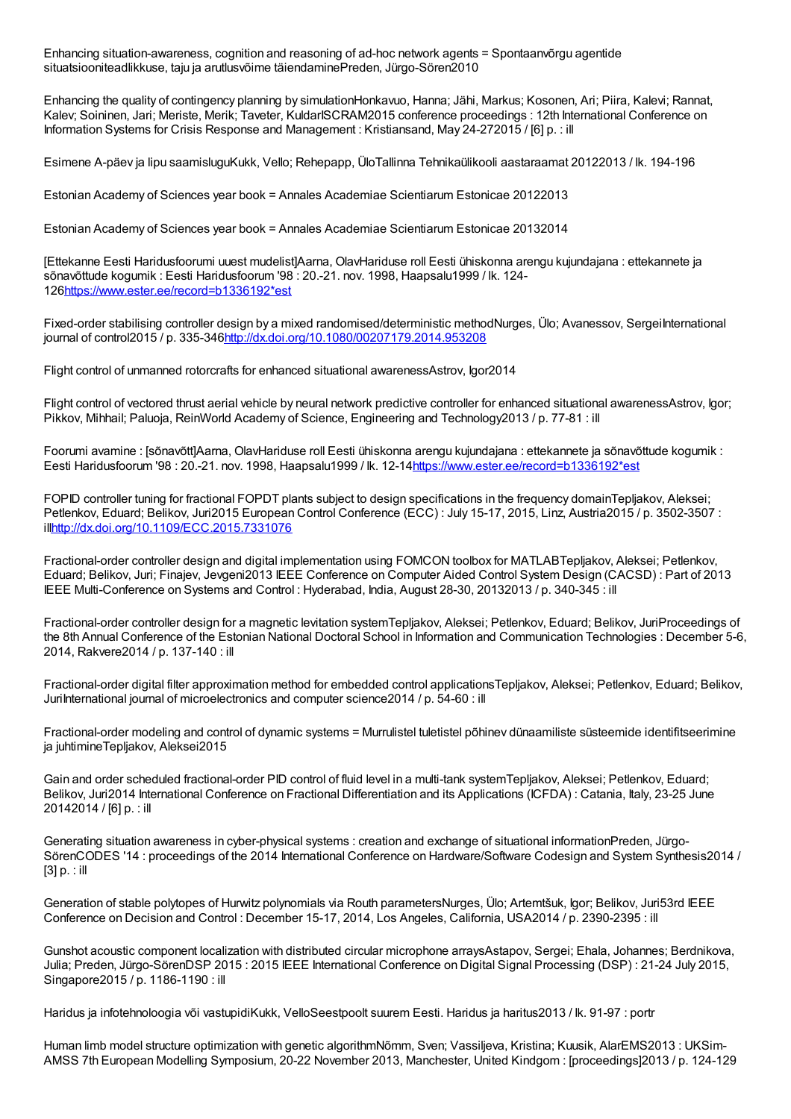Enhancing situation-awareness, cognition and reasoning of ad-hoc network agents = Spontaanvõrgu agentide situatsiooniteadlikkuse, taju ja arutlusvõime täiendaminePreden, Jürgo-Sören2010

Enhancing the quality of contingency planning by simulationHonkavuo, Hanna; Jähi, Markus; Kosonen, Ari; Piira, Kalevi; Rannat, Kalev; Soininen, Jari; Meriste, Merik; Taveter, KuldarISCRAM2015 conference proceedings : 12th International Conference on Information Systems for Crisis Response and Management : Kristiansand, May 24-272015 / [6] p. : ill

Esimene A-päev ja lipu saamisluguKukk, Vello; Rehepapp, ÜloTallinna Tehnikaülikooli aastaraamat 20122013 / lk. 194-196

Estonian Academy of Sciences year book = Annales Academiae Scientiarum Estonicae 20122013

Estonian Academy of Sciences year book = Annales Academiae Scientiarum Estonicae 20132014

[Ettekanne Eesti Haridusfoorumi uuest mudelist]Aarna, OlavHariduse roll Eesti ühiskonna arengu kujundajana : ettekannete ja sõnavõttude kogumik : Eesti Haridusfoorum '98 : 20.-21. nov. 1998, Haapsalu1999 / lk. 124- 12[6https://www.ester.ee/record=b1336192\\*est](https://www.ester.ee/record=b1336192*est)

Fixed-order stabilising controller design by a mixed randomised/deterministic methodNurges, Ülo; Avanessov, SergeiInternational journal of control2015 / p. 335-346<http://dx.doi.org/10.1080/00207179.2014.953208>

Flight control of unmanned rotorcrafts for enhanced situational awarenessAstrov, Igor2014

Flight control of vectored thrust aerial vehicle by neural network predictive controller for enhanced situational awarenessAstrov, Igor; Pikkov, Mihhail; Paluoja, ReinWorld Academy of Science, Engineering and Technology2013 / p. 77-81 : ill

Foorumi avamine : [sõnavõtt]Aarna, OlavHariduse roll Eesti ühiskonna arengu kujundajana : ettekannete ja sõnavõttude kogumik : Eesti Haridusfoorum '98 : 20.-21. nov. 1998, Haapsalu1999 / lk. 12-1[4https://www.ester.ee/record=b1336192\\*est](https://www.ester.ee/record=b1336192*est)

FOPID controller tuning for fractional FOPDT plants subject to design specifications in the frequency domainTepljakov, Aleksei; Petlenkov, Eduard; Belikov, Juri2015 European Control Conference (ECC) : July 15-17, 2015, Linz, Austria2015 / p. 3502-3507 : il[lhttp://dx.doi.org/10.1109/ECC.2015.7331076](http://dx.doi.org/10.1109/ECC.2015.7331076)

Fractional-order controller design and digital implementation using FOMCON toolbox for MATLABTepljakov, Aleksei; Petlenkov, Eduard; Belikov, Juri; Finajev, Jevgeni2013 IEEE Conference on Computer Aided Control System Design (CACSD) : Part of 2013 IEEE Multi-Conference on Systems and Control : Hyderabad, India, August 28-30, 20132013 / p. 340-345 : ill

Fractional-order controller design for a magnetic levitation systemTepljakov, Aleksei; Petlenkov, Eduard; Belikov, JuriProceedings of the 8th Annual Conference of the Estonian National Doctoral School in Information and Communication Technologies : December 5-6, 2014, Rakvere2014 / p. 137-140 : ill

Fractional-order digital filter approximation method for embedded control applicationsTepljakov, Aleksei; Petlenkov, Eduard; Belikov, JuriInternational journal of microelectronics and computer science2014 / p. 54-60 : ill

Fractional-order modeling and control of dynamic systems = Murrulistel tuletistel põhinev dünaamiliste süsteemide identifitseerimine ja juhtimineTepljakov, Aleksei2015

Gain and order scheduled fractional-order PID control of fluid level in a multi-tank systemTepljakov, Aleksei; Petlenkov, Eduard; Belikov, Juri2014 International Conference on Fractional Differentiation and its Applications (ICFDA) : Catania, Italy, 23-25 June 20142014 / [6] p. : ill

Generating situation awareness in cyber-physical systems : creation and exchange of situational informationPreden, Jürgo-SörenCODES '14 : proceedings of the 2014 International Conference on Hardware/Software Codesign and System Synthesis2014 / [3] p. : ill

Generation of stable polytopes of Hurwitz polynomials via Routh parametersNurges, Ülo; Artemtšuk, Igor; Belikov, Juri53rd IEEE Conference on Decision and Control : December 15-17, 2014, Los Angeles, California, USA2014 / p. 2390-2395 : ill

Gunshot acoustic component localization with distributed circular microphone arraysAstapov, Sergei; Ehala, Johannes; Berdnikova, Julia; Preden, Jürgo-SörenDSP 2015 : 2015 IEEE International Conference on Digital Signal Processing (DSP) : 21-24 July 2015, Singapore2015 / p. 1186-1190 : ill

Haridus ja infotehnoloogia või vastupidiKukk, VelloSeestpoolt suurem Eesti. Haridus ja haritus2013 / lk. 91-97 : portr

Human limb model structure optimization with genetic algorithmNõmm, Sven; Vassiljeva, Kristina; Kuusik, AlarEMS2013 : UKSim-AMSS 7th European Modelling Symposium, 20-22 November 2013, Manchester, United Kindgom : [proceedings]2013 / p. 124-129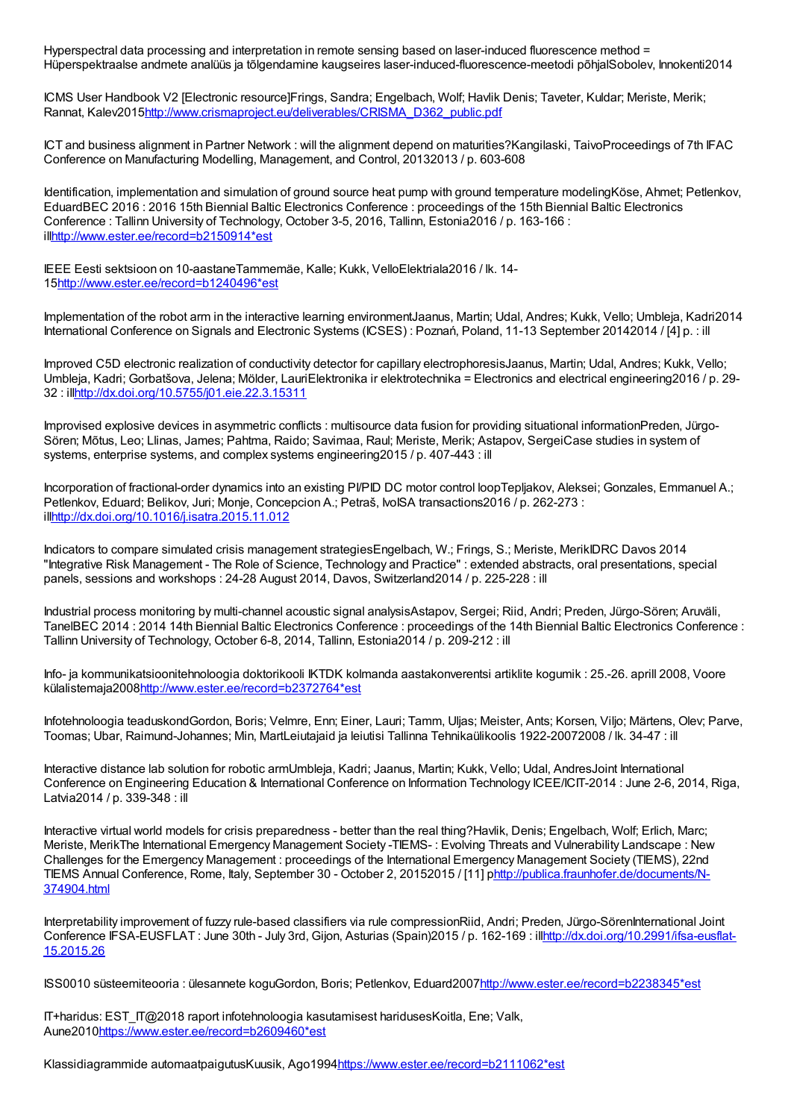Hyperspectral data processing and interpretation in remote sensing based on laser-induced fluorescence method = Hüperspektraalse andmete analüüs ja tõlgendamine kaugseires laser-induced-fluorescence-meetodi põhjalSobolev, Innokenti2014

ICMS User Handbook V2 [Electronic resource]Frings, Sandra; Engelbach, Wolf; Havlik Denis; Taveter, Kuldar; Meriste, Merik; Rannat, Kalev201[5http://www.crismaproject.eu/deliverables/CRISMA\\_D362\\_public.pdf](http://www.crismaproject.eu/deliverables/CRISMA_D362_public.pdf)

ICT and business alignment in Partner Network : will the alignment depend on maturities?Kangilaski, TaivoProceedings of 7th IFAC Conference on Manufacturing Modelling, Management, and Control, 20132013 / p. 603-608

Identification, implementation and simulation of ground source heat pump with ground temperature modelingKöse, Ahmet; Petlenkov, EduardBEC 2016 : 2016 15th Biennial Baltic Electronics Conference : proceedings of the 15th Biennial Baltic Electronics Conference : Tallinn University of Technology, October 3-5, 2016, Tallinn, Estonia2016 / p. 163-166 : il[lhttp://www.ester.ee/record=b2150914\\*est](http://www.ester.ee/record=b2150914*est)

IEEE Eesti sektsioon on 10-aastaneTammemäe, Kalle; Kukk, VelloElektriala2016 / lk. 14- 1[5http://www.ester.ee/record=b1240496\\*est](http://www.ester.ee/record=b1240496*est)

Implementation of the robot arm in the interactive learning environmentJaanus, Martin; Udal, Andres; Kukk, Vello; Umbleja, Kadri2014 International Conference on Signals and Electronic Systems (ICSES) : Poznań, Poland, 11-13 September 20142014 / [4] p. : ill

Improved C5D electronic realization of conductivity detector for capillary electrophoresisJaanus, Martin; Udal, Andres; Kukk, Vello; Umbleja, Kadri; Gorbatšova, Jelena; Mölder, LauriElektronika ir elektrotechnika = Electronics and electrical engineering2016 / p. 29- 32 : il[lhttp://dx.doi.org/10.5755/j01.eie.22.3.15311](http://dx.doi.org/10.5755/j01.eie.22.3.15311)

Improvised explosive devices in asymmetric conflicts : multisource data fusion for providing situational informationPreden, Jürgo-Sören; Mõtus, Leo; Llinas, James; Pahtma, Raido; Savimaa, Raul; Meriste, Merik; Astapov, SergeiCase studies in system of systems, enterprise systems, and complex systems engineering2015 / p. 407-443 : ill

Incorporation of fractional-order dynamics into an existing PI/PID DC motor control loopTepljakov, Aleksei; Gonzales, Emmanuel A.; Petlenkov, Eduard; Belikov, Juri; Monje, Concepcion A.; Petraš, IvoISA transactions2016 / p. 262-273 : il[lhttp://dx.doi.org/10.1016/j.isatra.2015.11.012](http://dx.doi.org/10.1016/j.isatra.2015.11.012)

Indicators to compare simulated crisis management strategiesEngelbach, W.; Frings, S.; Meriste, MerikIDRC Davos 2014 "Integrative Risk Management - The Role of Science, Technology and Practice" : extended abstracts, oral presentations, special panels, sessions and workshops : 24-28 August 2014, Davos, Switzerland2014 / p. 225-228 : ill

Industrial process monitoring by multi-channel acoustic signal analysisAstapov, Sergei; Riid, Andri; Preden, Jürgo-Sören; Aruväli, TanelBEC 2014 : 2014 14th Biennial Baltic Electronics Conference : proceedings of the 14th Biennial Baltic Electronics Conference : Tallinn University of Technology, October 6-8, 2014, Tallinn, Estonia2014 / p. 209-212 : ill

Info- ja kommunikatsioonitehnoloogia doktorikooli IKTDK kolmanda aastakonverentsi artiklite kogumik : 25.-26. aprill 2008, Voore külalistemaja200[8http://www.ester.ee/record=b2372764\\*est](http://www.ester.ee/record=b2372764*est)

Infotehnoloogia teaduskondGordon, Boris; Velmre, Enn; Einer, Lauri; Tamm, Uljas; Meister, Ants; Korsen, Viljo; Märtens, Olev; Parve, Toomas; Ubar, Raimund-Johannes; Min, MartLeiutajaid ja leiutisi Tallinna Tehnikaülikoolis 1922-20072008 / lk. 34-47 : ill

Interactive distance lab solution for robotic armUmbleja, Kadri; Jaanus, Martin; Kukk, Vello; Udal, AndresJoint International Conference on Engineering Education & International Conference on Information Technology ICEE/ICIT-2014 : June 2-6, 2014, Riga, Latvia2014 / p. 339-348 : ill

Interactive virtual world models for crisis preparedness - better than the real thing?Havlik, Denis; Engelbach, Wolf; Erlich, Marc; Meriste, MerikThe International Emergency Management Society -TIEMS- : Evolving Threats and Vulnerability Landscape : New Challenges for the Emergency Management : proceedings of the International Emergency Management Society (TIEMS), 22nd TIEMS Annual Conference, Rome, Italy, September 30 - October 2, 20152015 / [11] [phttp://publica.fraunhofer.de/documents/N-](http://publica.fraunhofer.de/documents/N-374904.html)374904.html

Interpretability improvement of fuzzy rule-based classifiers via rule compressionRiid, Andri; Preden, Jürgo-SörenInternational Joint Conference IFSA-EUSFLAT : June 30th - July 3rd, Gijon, Asturias (Spain)2015 / p. 162-169 : [illhttp://dx.doi.org/10.2991/ifsa-eusflat-](http://dx.doi.org/10.2991/ifsa-eusflat-15.2015.26)15.2015.26

ISS0010 süsteemiteooria : ülesannete koguGordon, Boris; Petlenkov, Eduard200[7http://www.ester.ee/record=b2238345\\*est](http://www.ester.ee/record=b2238345*est)

IT+haridus: EST\_IT@2018 raport infotehnoloogia kasutamisest haridusesKoitla, Ene; Valk, Aune201[0https://www.ester.ee/record=b2609460\\*est](https://www.ester.ee/record=b2609460*est)

Klassidiagrammide automaatpaigutusKuusik, Ago1994[https://www.ester.ee/record=b2111062\\*est](https://www.ester.ee/record=b2111062*est)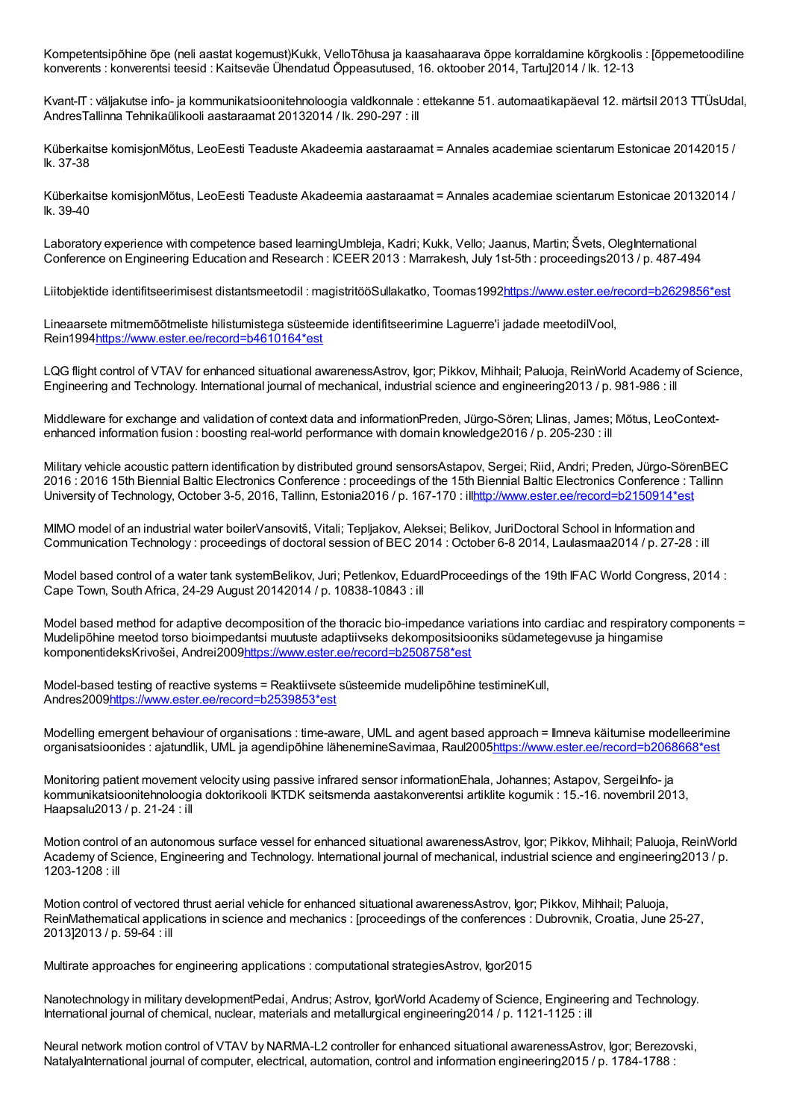Kompetentsipõhine õpe (neli aastat kogemust)Kukk, VelloTõhusa ja kaasahaarava õppe korraldamine kõrgkoolis : [õppemetoodiline konverents : konverentsi teesid : Kaitseväe Ühendatud Õppeasutused, 16. oktoober 2014, Tartu]2014 / lk. 12-13

Kvant-IT : väljakutse info- ja kommunikatsioonitehnoloogia valdkonnale : ettekanne 51. automaatikapäeval 12. märtsil 2013 TTÜsUdal, AndresTallinna Tehnikaülikooli aastaraamat 20132014 / lk. 290-297 : ill

Küberkaitse komisjonMõtus, LeoEesti Teaduste Akadeemia aastaraamat = Annales academiae scientarum Estonicae 20142015 / lk. 37-38

Küberkaitse komisjonMõtus, LeoEesti Teaduste Akadeemia aastaraamat = Annales academiae scientarum Estonicae 20132014 / lk. 39-40

Laboratory experience with competence based learningUmbleja, Kadri; Kukk, Vello; Jaanus, Martin; Švets, OlegInternational Conference on Engineering Education and Research : ICEER 2013 : Marrakesh, July 1st-5th : proceedings2013 / p. 487-494

Liitobjektide identifitseerimisest distantsmeetodil : magistritööSullakatko, Toomas1992[https://www.ester.ee/record=b2629856\\*est](https://www.ester.ee/record=b2629856*est)

Lineaarsete mitmemõõtmeliste hilistumistega süsteemide identifitseerimine Laguerre'i jadade meetodilVool, Rein199[4https://www.ester.ee/record=b4610164\\*est](https://www.ester.ee/record=b4610164*est)

LQG flight control of VTAV for enhanced situational awarenessAstrov, Igor; Pikkov, Mihhail; Paluoja, ReinWorld Academy of Science, Engineering and Technology. International journal of mechanical, industrial science and engineering2013 / p. 981-986 : ill

Middleware for exchange and validation of context data and informationPreden, Jürgo-Sören; Llinas, James; Mõtus, LeoContextenhanced information fusion : boosting real-world performance with domain knowledge2016 / p. 205-230 : ill

Military vehicle acoustic pattern identification by distributed ground sensorsAstapov, Sergei; Riid, Andri; Preden, Jürgo-SörenBEC 2016 : 2016 15th Biennial Baltic Electronics Conference : proceedings of the 15th Biennial Baltic Electronics Conference : Tallinn University of Technology, October 3-5, 2016, Tallinn, Estonia2016 / p. 167-170 : il[lhttp://www.ester.ee/record=b2150914\\*est](http://www.ester.ee/record=b2150914*est)

MIMO model of an industrial water boilerVansovitš, Vitali; Tepljakov, Aleksei; Belikov, JuriDoctoral School in Information and Communication Technology : proceedings of doctoral session of BEC 2014 : October 6-8 2014, Laulasmaa2014 / p. 27-28 : ill

Model based control of a water tank systemBelikov, Juri; Petlenkov, EduardProceedings of the 19th IFAC World Congress, 2014 : Cape Town, South Africa, 24-29 August 20142014 / p. 10838-10843 : ill

Model based method for adaptive decomposition of the thoracic bio-impedance variations into cardiac and respiratory components = Mudelipõhine meetod torso bioimpedantsi muutuste adaptiivseks dekompositsiooniks südametegevuse ja hingamise komponentideksKrivošei, Andrei200[9https://www.ester.ee/record=b2508758\\*est](https://www.ester.ee/record=b2508758*est)

Model-based testing of reactive systems = Reaktiivsete süsteemide mudelipõhine testimineKull, Andres200[9https://www.ester.ee/record=b2539853\\*est](https://www.ester.ee/record=b2539853*est)

Modelling emergent behaviour of organisations : time-aware, UML and agent based approach = Ilmneva käitumise modelleerimine organisatsioonides : ajatundlik, UML ja agendipõhine lähenemineSavimaa, Raul200[5https://www.ester.ee/record=b2068668\\*est](https://www.ester.ee/record=b2068668*est)

Monitoring patient movement velocity using passive infrared sensor informationEhala, Johannes; Astapov, SergeiInfo- ja kommunikatsioonitehnoloogia doktorikooli IKTDK seitsmenda aastakonverentsi artiklite kogumik : 15.-16. novembril 2013, Haapsalu2013 / p. 21-24 : ill

Motion control of an autonomous surface vessel for enhanced situational awarenessAstrov, Igor; Pikkov, Mihhail; Paluoja, ReinWorld Academy of Science, Engineering and Technology. International journal of mechanical, industrial science and engineering2013 / p. 1203-1208 : ill

Motion control of vectored thrust aerial vehicle for enhanced situational awarenessAstrov, Igor; Pikkov, Mihhail; Paluoja, ReinMathematical applications in science and mechanics : [proceedings of the conferences : Dubrovnik, Croatia, June 25-27, 2013]2013 / p. 59-64 : ill

Multirate approaches for engineering applications : computational strategiesAstrov, Igor2015

Nanotechnology in military developmentPedai, Andrus; Astrov, IgorWorld Academy of Science, Engineering and Technology. International journal of chemical, nuclear, materials and metallurgical engineering2014 / p. 1121-1125 : ill

Neural network motion control of VTAV by NARMA-L2 controller for enhanced situational awarenessAstrov, Igor; Berezovski, NatalyaInternational journal of computer, electrical, automation, control and information engineering2015 / p. 1784-1788 :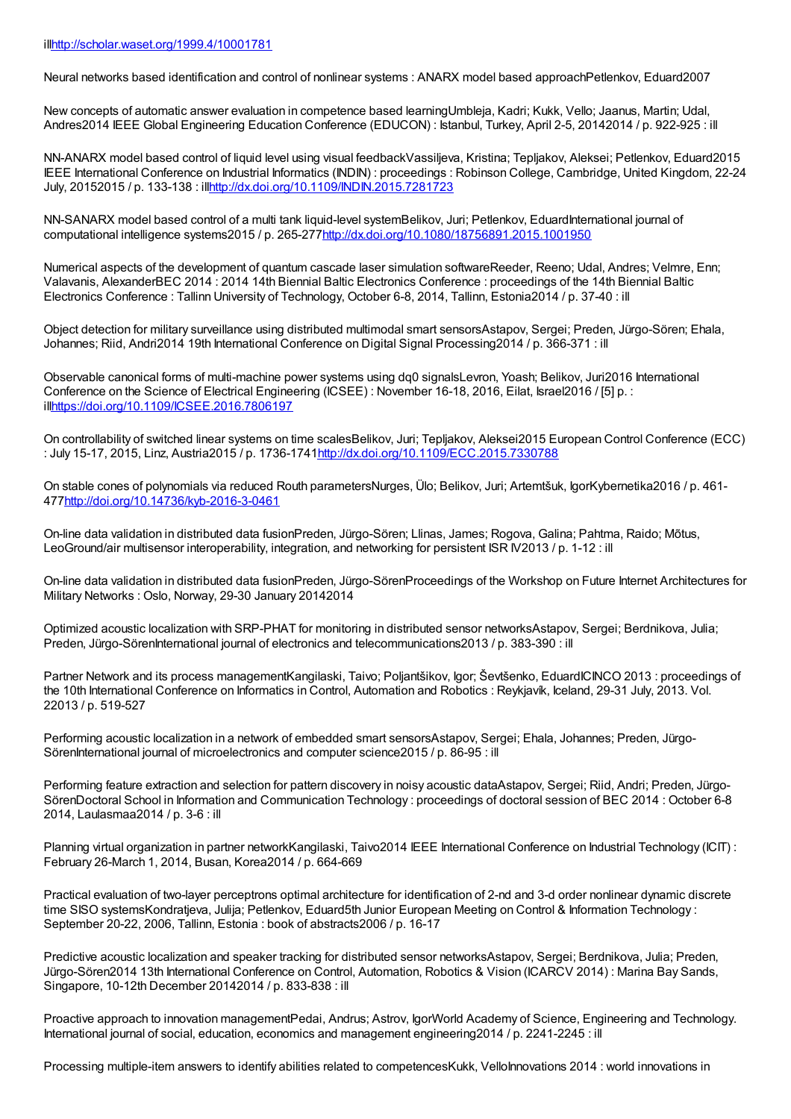Neural networks based identification and control of nonlinear systems : ANARX model based approachPetlenkov, Eduard2007

New concepts of automatic answer evaluation in competence based learningUmbleja, Kadri; Kukk, Vello; Jaanus, Martin; Udal, Andres2014 IEEE Global Engineering Education Conference (EDUCON) : Istanbul, Turkey, April 2-5, 20142014 / p. 922-925 : ill

NN-ANARX model based control of liquid level using visual feedbackVassiljeva, Kristina; Tepljakov, Aleksei; Petlenkov, Eduard2015 IEEE International Conference on Industrial Informatics (INDIN) : proceedings : Robinson College, Cambridge, United Kingdom, 22-24 July, 20152015 / p. 133-138 : il[lhttp://dx.doi.org/10.1109/INDIN.2015.7281723](http://dx.doi.org/10.1109/INDIN.2015.7281723)

NN-SANARX model based control of a multi tank liquid-level systemBelikov, Juri; Petlenkov, EduardInternational journal of computational intelligence systems2015 / p. 265-27[7http://dx.doi.org/10.1080/18756891.2015.1001950](http://dx.doi.org/10.1080/18756891.2015.1001950)

Numerical aspects of the development of quantum cascade laser simulation softwareReeder, Reeno; Udal, Andres; Velmre, Enn; Valavanis, AlexanderBEC 2014 : 2014 14th Biennial Baltic Electronics Conference : proceedings of the 14th Biennial Baltic Electronics Conference : Tallinn University of Technology, October 6-8, 2014, Tallinn, Estonia2014 / p. 37-40 : ill

Object detection for military surveillance using distributed multimodal smart sensorsAstapov, Sergei; Preden, Jürgo-Sören; Ehala, Johannes; Riid, Andri2014 19th International Conference on Digital Signal Processing2014 / p. 366-371 : ill

Observable canonical forms of multi-machine power systems using dq0 signalsLevron, Yoash; Belikov, Juri2016 International Conference on the Science of Electrical Engineering (ICSEE) : November 16-18, 2016, Eilat, Israel2016 / [5] p. : il[lhttps://doi.org/10.1109/ICSEE.2016.7806197](https://doi.org/10.1109/ICSEE.2016.7806197)

On controllability of switched linear systems on time scalesBelikov, Juri; Tepljakov, Aleksei2015 European Control Conference (ECC) : July 15-17, 2015, Linz, Austria2015 / p. 1736-174[1http://dx.doi.org/10.1109/ECC.2015.7330788](http://dx.doi.org/10.1109/ECC.2015.7330788)

On stable cones of polynomials via reduced Routh parametersNurges, Ülo; Belikov, Juri; Artemtšuk, IgorKybernetika2016 / p. 461- 47[7http://doi.org/10.14736/kyb-2016-3-0461](http://doi.org/10.14736/kyb-2016-3-0461)

On-line data validation in distributed data fusionPreden, Jürgo-Sören; Llinas, James; Rogova, Galina; Pahtma, Raido; Mõtus, LeoGround/air multisensor interoperability, integration, and networking for persistent ISR IV2013 / p. 1-12 : ill

On-line data validation in distributed data fusionPreden, Jürgo-SörenProceedings of the Workshop on Future Internet Architectures for Military Networks : Oslo, Norway, 29-30 January 20142014

Optimized acoustic localization with SRP-PHAT for monitoring in distributed sensor networksAstapov, Sergei; Berdnikova, Julia; Preden, Jürgo-SörenInternational journal of electronics and telecommunications2013 / p. 383-390 : ill

Partner Network and its process managementKangilaski, Taivo; Poljantšikov, Igor; Ševtšenko, EduardICINCO 2013 : proceedings of the 10th International Conference on Informatics in Control, Automation and Robotics : Reykjavík, Iceland, 29-31 July, 2013. Vol. 22013 / p. 519-527

Performing acoustic localization in a network of embedded smart sensorsAstapov, Sergei; Ehala, Johannes; Preden, Jürgo-SörenInternational journal of microelectronics and computer science2015 / p. 86-95 : ill

Performing feature extraction and selection for pattern discovery in noisy acoustic dataAstapov, Sergei; Riid, Andri; Preden, Jürgo-SörenDoctoral School in Information and Communication Technology : proceedings of doctoral session of BEC 2014 : October 6-8 2014, Laulasmaa2014 / p. 3-6 : ill

Planning virtual organization in partner networkKangilaski, Taivo2014 IEEE International Conference on Industrial Technology (ICIT) : February 26-March 1, 2014, Busan, Korea2014 / p. 664-669

Practical evaluation of two-layer perceptrons optimal architecture for identification of 2-nd and 3-d order nonlinear dynamic discrete time SISO systemsKondratjeva, Julija; Petlenkov, Eduard5th Junior European Meeting on Control & Information Technology : September 20-22, 2006, Tallinn, Estonia : book of abstracts2006 / p. 16-17

Predictive acoustic localization and speaker tracking for distributed sensor networksAstapov, Sergei; Berdnikova, Julia; Preden, Jürgo-Sören2014 13th International Conference on Control, Automation, Robotics & Vision (ICARCV 2014) : Marina Bay Sands, Singapore, 10-12th December 20142014 / p. 833-838 : ill

Proactive approach to innovation managementPedai, Andrus; Astrov, IgorWorld Academy of Science, Engineering and Technology. International journal of social, education, economics and management engineering2014 / p. 2241-2245 : ill

Processing multiple-item answers to identify abilities related to competencesKukk, VelloInnovations 2014 : world innovations in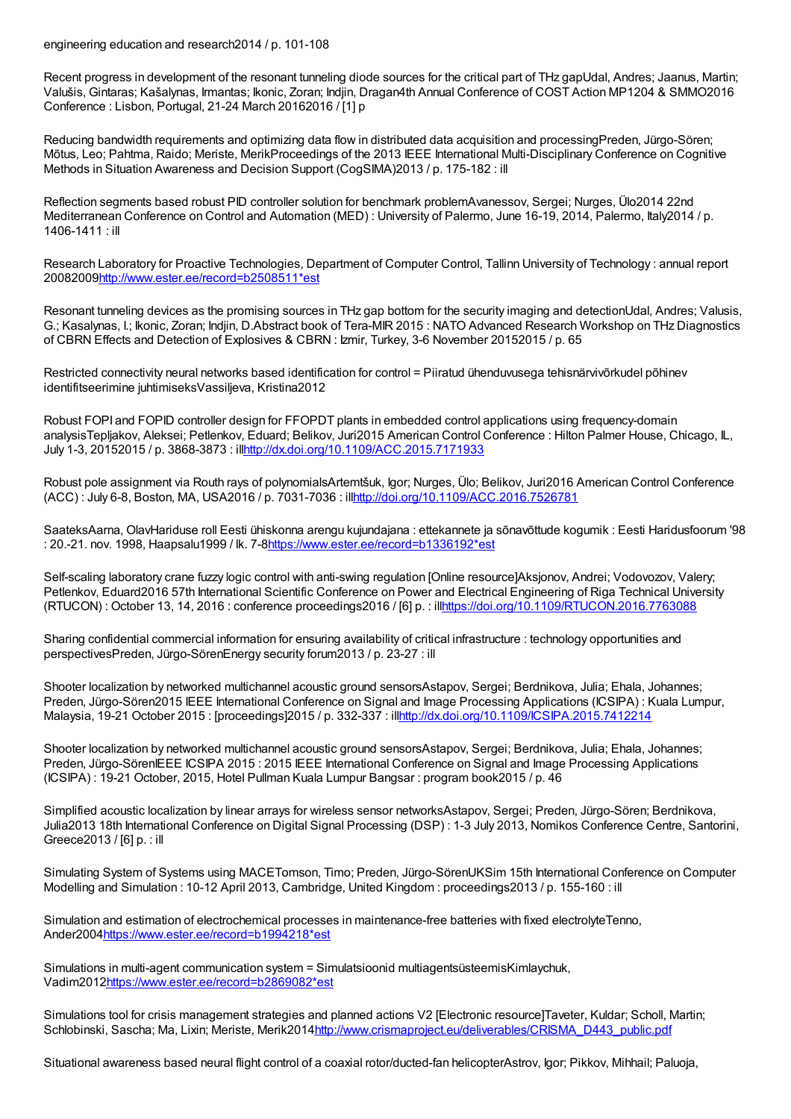engineering education and research2014 / p. 101-108

Recent progress in development of the resonant tunneling diode sources for the critical part of THz gapUdal, Andres; Jaanus, Martin; Valušis, Gintaras; Kašalynas, Irmantas; Ikonic, Zoran; Indjin, Dragan4th Annual Conference of COST Action MP1204 & SMMO2016 Conference : Lisbon, Portugal, 21-24 March 20162016 / [1] p

Reducing bandwidth requirements and optimizing data flow in distributed data acquisition and processingPreden, Jürgo-Sören; Mõtus, Leo; Pahtma, Raido; Meriste, MerikProceedings of the 2013 IEEE International Multi-Disciplinary Conference on Cognitive Methods in Situation Awareness and Decision Support (CogSIMA)2013 / p. 175-182 : ill

Reflection segments based robust PID controller solution for benchmark problemAvanessov, Sergei; Nurges, Ülo2014 22nd Mediterranean Conference on Control and Automation (MED) : University of Palermo, June 16-19, 2014, Palermo, Italy2014 / p. 1406-1411 : ill

Research Laboratory for Proactive Technologies, Department of Computer Control, Tallinn University of Technology : annual report 2008200[9http://www.ester.ee/record=b2508511\\*est](http://www.ester.ee/record=b2508511*est)

Resonant tunneling devices as the promising sources in THz gap bottom for the security imaging and detectionUdal, Andres; Valusis, G.; Kasalynas, I.; Ikonic, Zoran; Indjin, D.Abstract book of Tera-MIR 2015 : NATO Advanced Research Workshop on THz Diagnostics of CBRN Effects and Detection of Explosives & CBRN : Izmir, Turkey, 3-6 November 20152015 / p. 65

Restricted connectivity neural networks based identification for control = Piiratud ühenduvusega tehisnärvivõrkudel põhinev identifitseerimine juhtimiseksVassiljeva, Kristina2012

Robust FOPI and FOPID controller design for FFOPDT plants in embedded control applications using frequency-domain analysisTepljakov, Aleksei; Petlenkov, Eduard; Belikov, Juri2015 American Control Conference : Hilton Palmer House, Chicago, IL, July 1-3, 20152015 / p. 3868-3873 : il[lhttp://dx.doi.org/10.1109/ACC.2015.7171933](http://dx.doi.org/10.1109/ACC.2015.7171933)

Robust pole assignment via Routh rays of polynomialsArtemtšuk, Igor; Nurges, Ülo; Belikov, Juri2016 American Control Conference (ACC) : July 6-8, Boston, MA, USA2016 / p. 7031-7036 : il[lhttp://doi.org/10.1109/ACC.2016.7526781](http://doi.org/10.1109/ACC.2016.7526781)

SaateksAarna, OlavHariduse roll Eesti ühiskonna arengu kujundajana : ettekannete ja sõnavõttude kogumik : Eesti Haridusfoorum '98 : 20.-21. nov. 1998, Haapsalu1999 / lk. 7-[8https://www.ester.ee/record=b1336192\\*est](https://www.ester.ee/record=b1336192*est)

Self-scaling laboratory crane fuzzy logic control with anti-swing regulation [Online resource]Aksjonov, Andrei; Vodovozov, Valery; Petlenkov, Eduard2016 57th International Scientific Conference on Power and Electrical Engineering of Riga Technical University (RTUCON) : October 13, 14, 2016 : conference proceedings2016 / [6] p. : il[lhttps://doi.org/10.1109/RTUCON.2016.7763088](https://doi.org/10.1109/RTUCON.2016.7763088)

Sharing confidential commercial information for ensuring availability of critical infrastructure : technology opportunities and perspectivesPreden, Jürgo-SörenEnergy security forum2013 / p. 23-27 : ill

Shooter localization by networked multichannel acoustic ground sensorsAstapov, Sergei; Berdnikova, Julia; Ehala, Johannes; Preden, Jürgo-Sören2015 IEEE International Conference on Signal and Image Processing Applications (ICSIPA) : Kuala Lumpur, Malaysia, 19-21 October 2015 : [proceedings]2015 / p. 332-337 : il[lhttp://dx.doi.org/10.1109/ICSIPA.2015.7412214](http://dx.doi.org/10.1109/ICSIPA.2015.7412214)

Shooter localization by networked multichannel acoustic ground sensorsAstapov, Sergei; Berdnikova, Julia; Ehala, Johannes; Preden, Jürgo-SörenIEEE ICSIPA 2015 : 2015 IEEE International Conference on Signal and Image Processing Applications (ICSIPA) : 19-21 October, 2015, Hotel Pullman Kuala Lumpur Bangsar : program book2015 / p. 46

Simplified acoustic localization by linear arrays for wireless sensor networksAstapov, Sergei; Preden, Jürgo-Sören; Berdnikova, Julia2013 18th International Conference on Digital Signal Processing (DSP) : 1-3 July 2013, Nomikos Conference Centre, Santorini, Greece2013 / [6] p. : ill

Simulating System of Systems using MACETomson, Timo; Preden, Jürgo-SörenUKSim 15th International Conference on Computer Modelling and Simulation : 10-12 April 2013, Cambridge, United Kingdom : proceedings2013 / p. 155-160 : ill

Simulation and estimation of electrochemical processes in maintenance-free batteries with fixed electrolyteTenno, Ander200[4https://www.ester.ee/record=b1994218\\*est](https://www.ester.ee/record=b1994218*est)

Simulations in multi-agent communication system = Simulatsioonid multiagentsüsteemisKimlaychuk, Vadim201[2https://www.ester.ee/record=b2869082\\*est](https://www.ester.ee/record=b2869082*est)

Simulations tool for crisis management strategies and planned actions V2 [Electronic resource]Taveter, Kuldar; Scholl, Martin; Schlobinski, Sascha; Ma, Lixin; Meriste, Merik201[4http://www.crismaproject.eu/deliverables/CRISMA\\_D443\\_public.pdf](http://www.crismaproject.eu/deliverables/CRISMA_D443_public.pdf)

Situational awareness based neural flight control of a coaxial rotor/ducted-fan helicopterAstrov, Igor; Pikkov, Mihhail; Paluoja,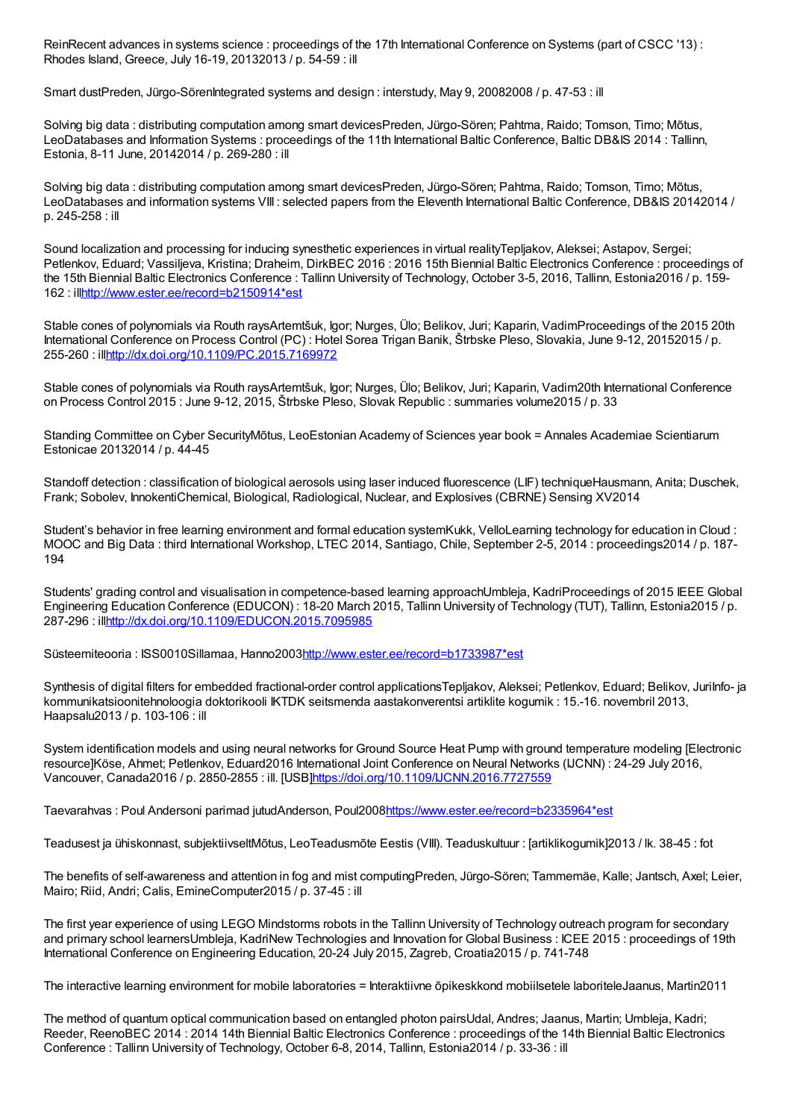ReinRecent advances in systems science : proceedings of the 17th International Conference on Systems (part of CSCC '13) : Rhodes Island, Greece, July 16-19, 20132013 / p. 54-59 : ill

Smart dustPreden, Jürgo-SörenIntegrated systems and design : interstudy, May 9, 20082008 / p. 47-53 : ill

Solving big data : distributing computation among smart devicesPreden, Jürgo-Sören; Pahtma, Raido; Tomson, Timo; Mõtus, LeoDatabases and Information Systems : proceedings of the 11th International Baltic Conference, Baltic DB&IS 2014 : Tallinn, Estonia, 8-11 June, 20142014 / p. 269-280 : ill

Solving big data : distributing computation among smart devicesPreden, Jürgo-Sören; Pahtma, Raido; Tomson, Timo; Mõtus, LeoDatabases and information systems VIII : selected papers from the Eleventh International Baltic Conference, DB&IS 20142014 / p. 245-258 : ill

Sound localization and processing for inducing synesthetic experiences in virtual realityTepljakov, Aleksei; Astapov, Sergei; Petlenkov, Eduard; Vassiljeva, Kristina; Draheim, DirkBEC 2016 : 2016 15th Biennial Baltic Electronics Conference : proceedings of the 15th Biennial Baltic Electronics Conference : Tallinn University of Technology, October 3-5, 2016, Tallinn, Estonia2016 / p. 159- 162 : il[lhttp://www.ester.ee/record=b2150914\\*est](http://www.ester.ee/record=b2150914*est)

Stable cones of polynomials via Routh raysArtemtšuk, Igor; Nurges, Ülo; Belikov, Juri; Kaparin, VadimProceedings of the 2015 20th International Conference on Process Control (PC) : Hotel Sorea Trigan Banik, Štrbske Pleso, Slovakia, June 9-12, 20152015 / p. 255-260 : il[lhttp://dx.doi.org/10.1109/PC.2015.7169972](http://dx.doi.org/10.1109/PC.2015.7169972)

Stable cones of polynomials via Routh raysArtemtšuk, Igor; Nurges, Ülo; Belikov, Juri; Kaparin, Vadim20th International Conference on Process Control 2015 : June 9-12, 2015, Štrbske Pleso, Slovak Republic : summaries volume2015 / p. 33

Standing Committee on Cyber SecurityMõtus, LeoEstonian Academy of Sciences year book = Annales Academiae Scientiarum Estonicae 20132014 / p. 44-45

Standoff detection : classification of biological aerosols using laser induced fluorescence (LIF) techniqueHausmann, Anita; Duschek, Frank; Sobolev, InnokentiChemical, Biological, Radiological, Nuclear, and Explosives (CBRNE) Sensing XV2014

Student's behavior in free learning environment and formal education systemKukk, VelloLearning technology for education in Cloud : MOOC and Big Data : third International Workshop, LTEC 2014, Santiago, Chile, September 2-5, 2014 : proceedings2014 / p. 187- 194

Students' grading control and visualisation in competence-based learning approachUmbleia, KadriProceedings of 2015 IEEE Global Engineering Education Conference (EDUCON) : 18-20 March 2015, Tallinn University of Technology (TUT), Tallinn, Estonia2015 / p. 287-296 : il[lhttp://dx.doi.org/10.1109/EDUCON.2015.7095985](http://dx.doi.org/10.1109/EDUCON.2015.7095985)

Süsteemiteooria : ISS0010Sillamaa, Hanno200[3http://www.ester.ee/record=b1733987\\*est](http://www.ester.ee/record=b1733987*est)

Synthesis of digital filters for embedded fractional-order control applicationsTepljakov, Aleksei; Petlenkov, Eduard; Belikov, JuriInfo- ja kommunikatsioonitehnoloogia doktorikooli IKTDK seitsmenda aastakonverentsi artiklite kogumik : 15.-16. novembril 2013, Haapsalu2013 / p. 103-106 : ill

System identification models and using neural networks for Ground Source Heat Pump with ground temperature modeling [Electronic resource]Köse, Ahmet; Petlenkov, Eduard2016 International Joint Conference on Neural Networks (IJCNN) : 24-29 July 2016, Vancouver, Canada2016 / p. 2850-2855 : ill. [USB[\]https://doi.org/10.1109/IJCNN.2016.7727559](https://doi.org/10.1109/IJCNN.2016.7727559)

Taevarahvas : Poul Andersoni parimad jutudAnderson, Poul200[8https://www.ester.ee/record=b2335964\\*est](https://www.ester.ee/record=b2335964*est)

Teadusest ja ühiskonnast, subjektiivseltMõtus, LeoTeadusmõte Eestis (VIII). Teaduskultuur : [artiklikogumik]2013 / lk. 38-45 : fot

The benefits of self-awareness and attention in fog and mist computingPreden, Jürgo-Sören; Tammemäe, Kalle; Jantsch, Axel; Leier, Mairo; Riid, Andri; Calis, EmineComputer2015 / p. 37-45 : ill

The first year experience of using LEGO Mindstorms robots in the Tallinn University of Technology outreach program for secondary and primary school learnersUmbleja, KadriNew Technologies and Innovation for Global Business : ICEE 2015 : proceedings of 19th International Conference on Engineering Education, 20-24 July 2015, Zagreb, Croatia2015 / p. 741-748

The interactive learning environment for mobile laboratories = Interaktiivne õpikeskkond mobiilsetele laboriteleJaanus, Martin2011

The method of quantum optical communication based on entangled photon pairsUdal, Andres; Jaanus, Martin; Umbleja, Kadri; Reeder, ReenoBEC 2014 : 2014 14th Biennial Baltic Electronics Conference : proceedings of the 14th Biennial Baltic Electronics Conference : Tallinn University of Technology, October 6-8, 2014, Tallinn, Estonia2014 / p. 33-36 : ill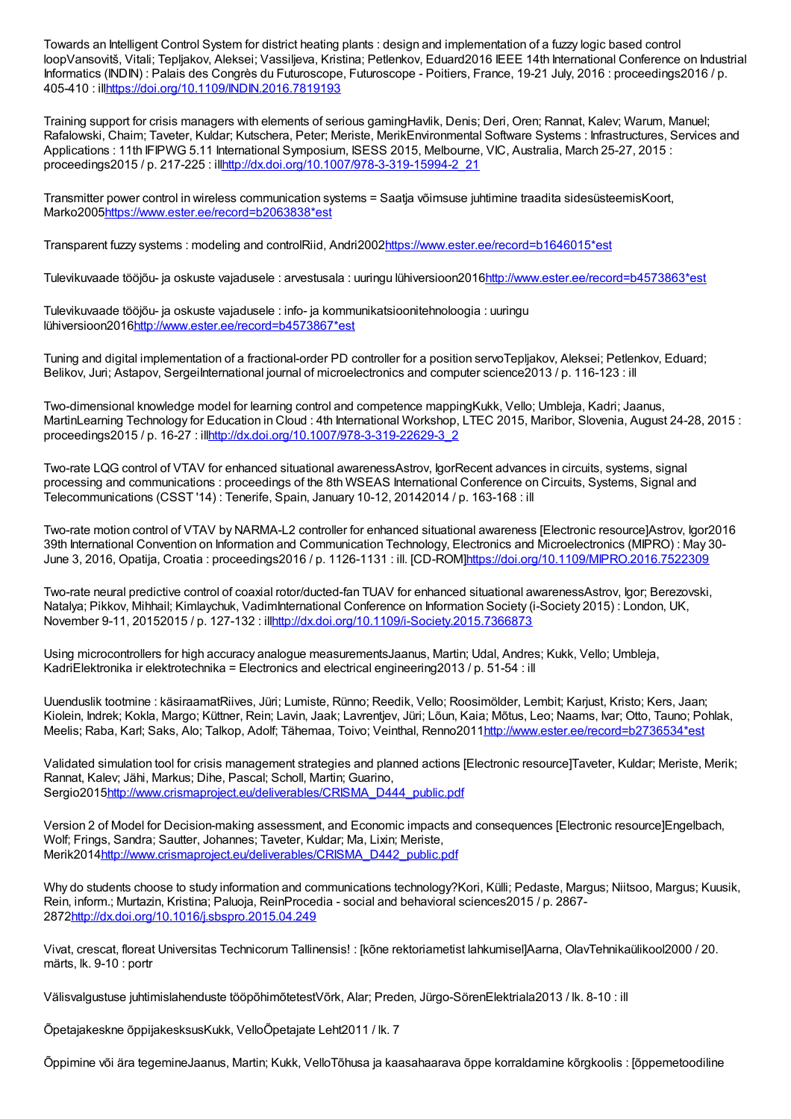Towards an Intelligent Control System for district heating plants : design and implementation of a fuzzy logic based control loopVansovitš, Vitali; Tepljakov, Aleksei; Vassiljeva, Kristina; Petlenkov, Eduard2016 IEEE 14th International Conference on Industrial Informatics (INDIN) : Palais des Congrès du Futuroscope, Futuroscope - Poitiers, France, 19-21 July, 2016 : proceedings2016 / p. 405-410 : il[lhttps://doi.org/10.1109/INDIN.2016.7819193](https://doi.org/10.1109/INDIN.2016.7819193)

Training support for crisis managers with elements of serious gamingHavlik, Denis; Deri, Oren; Rannat, Kalev; Warum, Manuel; Rafalowski, Chaim; Taveter, Kuldar; Kutschera, Peter; Meriste, MerikEnvironmental Software Systems : Infrastructures, Services and Applications : 11th IFIPWG 5.11 International Symposium, ISESS 2015, Melbourne, VIC, Australia, March 25-27, 2015 : proceedings2015 / p. 217-225 : il[lhttp://dx.doi.org/10.1007/978-3-319-15994-2\\_21](http://dx.doi.org/10.1007/978-3-319-15994-2_21)

Transmitter power control in wireless communication systems = Saatja võimsuse juhtimine traadita sidesüsteemisKoort, Marko2005[https://www.ester.ee/record=b2063838\\*est](https://www.ester.ee/record=b2063838*est)

Transparent fuzzy systems : modeling and controlRiid, Andri2002[https://www.ester.ee/record=b1646015\\*est](https://www.ester.ee/record=b1646015*est)

Tulevikuvaade tööjõu- ja oskuste vajadusele : arvestusala : uuringu lühiversioon201[6http://www.ester.ee/record=b4573863\\*est](http://www.ester.ee/record=b4573863*est)

Tulevikuvaade tööjõu- ja oskuste vajadusele : info- ja kommunikatsioonitehnoloogia : uuringu lühiversioon201[6http://www.ester.ee/record=b4573867\\*est](http://www.ester.ee/record=b4573867*est)

Tuning and digital implementation of a fractional-order PD controller for a position servoTepljakov, Aleksei; Petlenkov, Eduard; Belikov, Juri; Astapov, SergeiInternational journal of microelectronics and computer science2013 / p. 116-123 : ill

Two-dimensional knowledge model for learning control and competence mappingKukk, Vello; Umbleja, Kadri; Jaanus, MartinLearning Technology for Education in Cloud : 4th International Workshop, LTEC 2015, Maribor, Slovenia, August 24-28, 2015 : proceedings2015 / p. 16-27 : il[lhttp://dx.doi.org/10.1007/978-3-319-22629-3\\_2](http://dx.doi.org/10.1007/978-3-319-22629-3_2)

Two-rate LQG control of VTAV for enhanced situational awarenessAstrov, IgorRecent advances in circuits, systems, signal processing and communications : proceedings of the 8th WSEAS International Conference on Circuits, Systems, Signal and Telecommunications (CSST '14) : Tenerife, Spain, January 10-12, 20142014 / p. 163-168 : ill

Two-rate motion control of VTAV by NARMA-L2 controller for enhanced situational awareness [Electronic resource]Astrov, Igor2016 39th International Convention on Information and Communication Technology, Electronics and Microelectronics (MIPRO) : May 30- June 3, 2016, Opatija, Croatia : proceedings2016 / p. 1126-1131 : ill. [CD-ROM[\]https://doi.org/10.1109/MIPRO.2016.7522309](https://doi.org/10.1109/MIPRO.2016.7522309)

Two-rate neural predictive control of coaxial rotor/ducted-fan TUAV for enhanced situational awarenessAstrov, Igor; Berezovski, Natalya; Pikkov, Mihhail; Kimlaychuk, VadimInternational Conference on Information Society (i-Society 2015) : London, UK, November 9-11, 20152015 / p. 127-132 : il[lhttp://dx.doi.org/10.1109/i-Society.2015.7366873](http://dx.doi.org/10.1109/i-Society.2015.7366873)

Using microcontrollers for high accuracy analogue measurementsJaanus, Martin; Udal, Andres; Kukk, Vello; Umbleja, KadriElektronika ir elektrotechnika = Electronics and electrical engineering2013 / p. 51-54 : ill

Uuenduslik tootmine : käsiraamatRiives, Jüri; Lumiste, Rünno; Reedik, Vello; Roosimölder, Lembit; Karjust, Kristo; Kers, Jaan; Kiolein, Indrek; Kokla, Margo; Küttner, Rein; Lavin, Jaak; Lavrentjev, Jüri; Lõun, Kaia; Mõtus, Leo; Naams, Ivar; Otto, Tauno; Pohlak, Meelis; Raba, Karl; Saks, Alo; Talkop, Adolf; Tähemaa, Toivo; Veinthal, Renno2011[http://www.ester.ee/record=b2736534\\*est](http://www.ester.ee/record=b2736534*est)

Validated simulation tool for crisis management strategies and planned actions [Electronic resource]Taveter, Kuldar; Meriste, Merik; Rannat, Kalev; Jähi, Markus; Dihe, Pascal; Scholl, Martin; Guarino, Sergio201[5http://www.crismaproject.eu/deliverables/CRISMA\\_D444\\_public.pdf](http://www.crismaproject.eu/deliverables/CRISMA_D444_public.pdf)

Version 2 of Model for Decision-making assessment, and Economic impacts and consequences [Electronic resource]Engelbach, Wolf; Frings, Sandra; Sautter, Johannes; Taveter, Kuldar; Ma, Lixin; Meriste, Merik201[4http://www.crismaproject.eu/deliverables/CRISMA\\_D442\\_public.pdf](http://www.crismaproject.eu/deliverables/CRISMA_D442_public.pdf)

Why do students choose to study information and communications technology?Kori, Külli; Pedaste, Margus; Niitsoo, Margus; Kuusik, Rein, inform.; Murtazin, Kristina; Paluoja, ReinProcedia - social and behavioral sciences2015 / p. 2867- 2872<http://dx.doi.org/10.1016/j.sbspro.2015.04.249>

Vivat, crescat, floreat Universitas Technicorum Tallinensis! : [kõne rektoriametist lahkumisel]Aarna, OlavTehnikaülikool2000 / 20. märts, lk. 9-10 : portr

Välisvalgustuse juhtimislahenduste tööpõhimõtetestVõrk, Alar; Preden, Jürgo-SörenElektriala2013 / lk. 8-10 : ill

Õpetajakeskne õppijakesksusKukk, VelloÕpetajate Leht2011 / lk. 7

Õppimine või ära tegemineJaanus, Martin; Kukk, VelloTõhusa ja kaasahaarava õppe korraldamine kõrgkoolis : [õppemetoodiline